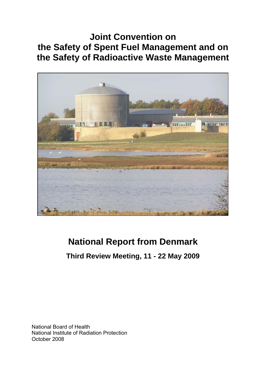# **Joint Convention on the Safety of Spent Fuel Management and on the Safety of Radioactive Waste Management**



# **National Report from Denmark**

# **Third Review Meeting, 11 - 22 May 2009**

National Board of Health National Institute of Radiation Protection October 2008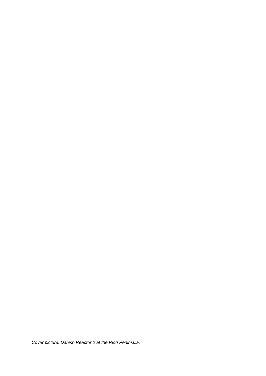*Cover picture: Danish Reactor 2 at the Risø Peninsula.*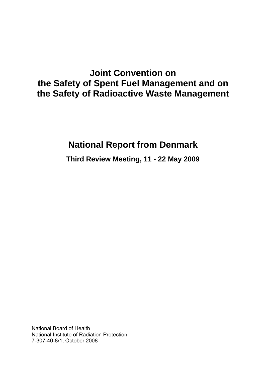# **Joint Convention on the Safety of Spent Fuel Management and on the Safety of Radioactive Waste Management**

# **National Report from Denmark**

**Third Review Meeting, 11 - 22 May 2009** 

National Board of Health National Institute of Radiation Protection 7-307-40-8/1, October 2008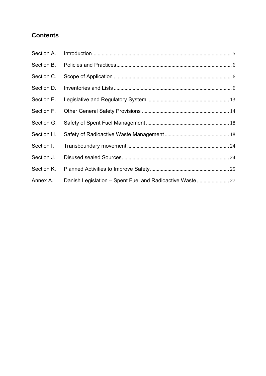# **Contents**

| Section A. |  |
|------------|--|
|            |  |
| Section C. |  |
| Section D. |  |
| Section E. |  |
| Section F. |  |
| Section G. |  |
| Section H. |  |
| Section I. |  |
| Section J. |  |
| Section K. |  |
| Annex A.   |  |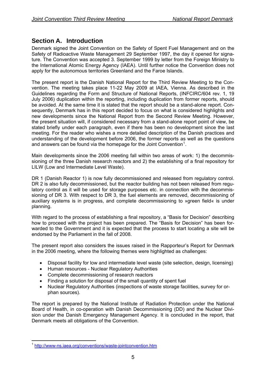## <span id="page-4-0"></span>**Section A. Introduction**

Denmark signed the Joint Convention on the Safety of Spent Fuel Management and on the Safety of Radioactive Waste Management 29 September 1997, the day it opened for signature. The Convention was accepted 3. September 1999 by letter from the Foreign Ministry to the International Atomic Energy Agency (IAEA). Until further notice the Convention does not apply for the autonomous territories Greenland and the Faroe Islands.

The present report is the Danish National Report for the Third Review Meeting to the Convention. The meeting takes place 11-22 May 2009 at IAEA, Vienna. As described in the Guidelines regarding the Form and Structure of National Reports, (INFCIRC/604 rev. 1, 19 July 2006) duplication within the reporting, including duplication from former reports, should be avoided. At the same time it is stated that the report should be a stand-alone report. Consequently, Denmark has in this report decided to focus on what is considered highlights and new developments since the National Report from the Second Review Meeting. However, the present situation will, if considered necessary from a stand-alone report point of view, be stated briefly under each paragraph, even if there has been no development since the last meeting. For the reader who wishes a more detailed description of the Danish practices and understanding of the development before 2006, the former reports as well as the questions and answers can be found via the homepage for the Joint Convention<sup>[1](#page-4-1)</sup>.

Main developments since the 2006 meeting fall within two areas of work: 1) the decommissioning of the three Danish research reactors and 2) the establishing of a final repository for LILW (Low and Intermediate Level Waste).

DR 1 (Danish Reactor 1) is now fully decommissioned and released from regulatory control. DR 2 is also fully decommissioned, but the reactor building has not been released from regulatory control as it will be used for storage purposes etc. in connection with the decommissioning of DR 3. With respect to DR 3, the fuel elements are removed, decommissioning of auxiliary systems is in progress, and complete decommissioning to »green field« is under planning.

With regard to the process of establishing a final repository, a "Basis for Decision" describing how to proceed with the project has been prepared. The "Basis for Decision" has been forwarded to the Government and it is expected that the process to start locating a site will be endorsed by the Parliament in the fall of 2008.

The present report also considers the issues raised in the Rapporteur's Report for Denmark in the 2006 meeting, where the following themes were highlighted as challenges:

- Disposal facility for low and intermediate level waste (site selection, design, licensing)
- Human resources Nuclear Regulatory Authorities
- Complete decommissioning of research reactors
- Finding a solution for disposal of the small quantity of spent fuel
- Nuclear Regulatory Authorities (inspections of waste storage facilities, survey for orphan sources).

The report is prepared by the National Institute of Radiation Protection under the National Board of Health, in co-operation with Danish Decommissioning (DD) and the Nuclear Division under the Danish Emergency Management Agency. It is concluded in the report, that Denmark meets all obligations of the Convention.

<span id="page-4-1"></span><sup>1</sup> <sup>1</sup> <http://www-ns.iaea.org/conventions/waste-jointconvention.htm>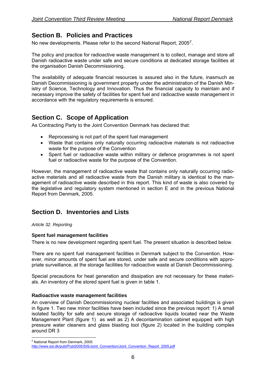# <span id="page-5-0"></span>**Section B. Policies and Practices**

No new developments. Please refer to the second National Report, [2](#page-5-1)005 $^2$ .

The policy and practice for radioactive waste management is to collect, manage and store all Danish radioactive waste under safe and secure conditions at dedicated storage facilities at the organisation Danish Decommissioning.

The availability of adequate financial resources is assured also in the future, inasmuch as Danish Decommissioning is government property under the administration of the Danish Ministry of Science, Technology and Innovation. Thus the financial capacity to maintain and if necessary improve the safety of facilities for spent fuel and radioactive waste management in accordance with the regulatory requirements is ensured.

# **Section C. Scope of Application**

As Contracting Party to the Joint Convention Denmark has declared that:

- Reprocessing is not part of the spent fuel management
- Waste that contains only naturally occurring radioactive materials is not radioactive waste for the purpose of the Convention
- Spent fuel or radioactive waste within military or defence programmes is not spent fuel or radioactive waste for the purpose of the Convention.

However, the management of radioactive waste that contains only naturally occurring radioactive materials and all radioactive waste from the Danish military is identical to the management of radioactive waste described in this report. This kind of waste is also covered by the legislative and regulatory system mentioned in section E and in the previous National Report from Denmark, 2005.

# **Section D. Inventories and Lists**

## *Article 32. Reporting*

## **Spent fuel management facilities**

There is no new development regarding spent fuel. The present situation is described below.

There are no spent fuel management facilities in Denmark subject to the Convention. However, minor amounts of spent fuel are stored, under safe and secure conditions with appropriate surveillance, at the storage facilities for radioactive waste at Danish Decommissioning.

Special precautions for heat generation and dissipation are not necessary for these materials. An inventory of the stored spent fuel is given in table 1.

## **Radioactive waste management facilities**

An overview of Danish Decommissioning nuclear facilities and associated buildings is given in figure 1. Two new minor facilities have been included since the previous report: 1) A small isolated facility for safe and secure storage of radioactive liquids located near the Waste Management Plant (figure 1) as well as 2) A decontamination cabinet equipped with high pressure water cleaners and glass blasting tool (figure 2) located in the building complex around DR 3

<sup>&</sup>lt;u>.</u> <sup>2</sup> National Report from Denmark, 2005:

<span id="page-5-1"></span>[http://www.sst.dk/publ/Publ2005/SIS/Joint\\_Convention/Joint\\_Convention\\_Report\\_2005.pdf](http://www.sst.dk/publ/Publ2005/SIS/Joint_Convention/Joint_Convention_Report_2005.pdf)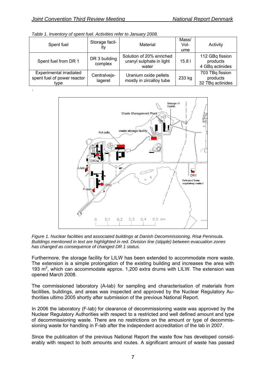| Spent fuel                                                     | Storage facil-<br>ity    | Material                                                      | Mass/<br>Vol-<br>ume | Activity                                        |
|----------------------------------------------------------------|--------------------------|---------------------------------------------------------------|----------------------|-------------------------------------------------|
| Spent fuel from DR 1                                           | DR 3 building<br>complex | Solution of 20% enriched<br>uranyl sulphate in light<br>water | 15.81                | 112 GBq fission<br>products<br>4 GBq actinides  |
| Experimental irradiated<br>spent fuel of power reactor<br>type | Centralvejs-<br>lageret  | Uranium oxide pellets<br>mostly in zircalloy tube             | 233 kg               | 703 TBq fission<br>products<br>32 TBq actinides |

*Table 1. Inventory of spent fuel. Activities refer to January 2008.* 



*Figure 1. Nuclear facilities and associated buildings at Danish Decommissioning, Risø Peninsula. Buildings mentioned in text are highlighted in red. Division line (stipple) between evacuation zones has changed as consequence of changed DR 1 status.* 

Furthermore, the storage facility for LILW has been extended to accommodate more waste. The extension is a simple prolongation of the existing building and increases the area with 193  $m<sup>2</sup>$ , which can accommodate approx. 1,200 extra drums with LILW. The extension was opened March 2008.

The commissioned laboratory (A-lab) for sampling and characterisation of materials from facilities, buildings, and areas was inspected and approved by the Nuclear Regulatory Authorities ultimo 2005 shortly after submission of the previous National Report.

In 2006 the laboratory (F-lab) for clearance of decommissioning waste was approved by the Nuclear Regulatory Authorities with respect to a restricted and well defined amount and type of decommissioning waste. There are no restrictions on the amount or type of decommissioning waste for handling in F-lab after the independent accreditation of the lab in 2007.

Since the publication of the previous National Report the waste flow has developed considerably with respect to both amounts and routes. A significant amount of waste has passed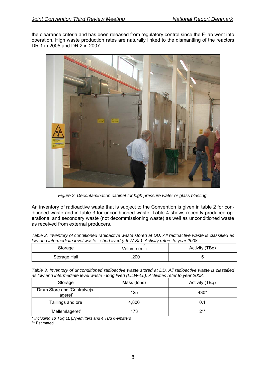the clearance criteria and has been released from regulatory control since the F-lab went into operation. High waste production rates are naturally linked to the dismantling of the reactors DR 1 in 2005 and DR 2 in 2007.



*Figure 2. Decontamination cabinet for high pressure water or glass blasting.* 

An inventory of radioactive waste that is subject to the Convention is given in table 2 for conditioned waste and in table 3 for unconditioned waste. Table 4 shows recently produced operational and secondary waste (not decommissioning waste) as well as unconditioned waste as received from external producers.

*Table 2. Inventory of conditioned radioactive waste stored at DD. All radioactive waste is classified as low and intermediate level waste - short lived (LILW-SL). Activity refers to year 2008.* 

| Storage      | Volume (m ) | Activity (TBq) |
|--------------|-------------|----------------|
| Storage Hall | 1,200       |                |

*Table 3. Inventory of unconditioned radioactive waste stored at DD. All radioactive waste is classified as low and intermediate level waste - long lived (LILW-LL). Activities refer to year 2008.* 

| Storage                                  | Mass (tons) | Activity (TBq) |
|------------------------------------------|-------------|----------------|
| Drum Store and 'Centralvejs-<br>lageret' | 125         | 430*           |
| Taillings and ore                        | 4.800       | 0.1            |
| 'Mellemlageret'                          | 173         | $2**$          |

*\* Including 18 TBq LL* β*/*γ*-emitters and 4 TBq* α*-emitters* 

\*\* Estimated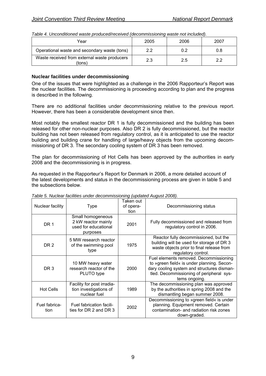| rawio in onloandroid macho producodroom ou juodonninguoning macho not mondoup |      |      |      |
|-------------------------------------------------------------------------------|------|------|------|
| Year                                                                          | 2005 | 2006 | 2007 |
| Operational waste and secondary waste (tons)                                  | 2.2  | 0.2  | 0.8  |
| Waste received from external waste producers<br>(tons)                        | 2.3  | 2.5  | 22   |

*Table 4. Unconditioned waste produced/received (decommissioning waste not included).* 

## **Nuclear facilities under decommissioning**

One of the issues that were highlighted as a challenge in the 2006 Rapporteur's Report was the nuclear facilities. The decommissioning is proceeding according to plan and the progress is described in the following.

There are no additional facilities under decommissioning relative to the previous report. However, there has been a considerable development since then.

Most notably the smallest reactor DR 1 is fully decommissioned and the building has been released for other non-nuclear purposes. Also DR 2 is fully decommissioned, but the reactor building has not been released from regulatory control, as it is anticipated to use the reactor building and building crane for handling of large/heavy objects from the upcoming decommissioning of DR 3. The secondary cooling system of DR 3 has been removed.

The plan for decommissioning of Hot Cells has been approved by the authorities in early 2008 and the decommissioning is in progress.

As requested in the Rapporteur's Report for Denmark in 2006, a more detailed account of the latest developments and status in the decommissioning process are given in table 5 and the subsections below.

| Nuclear facility      | Type                                                                         | Taken out<br>of opera-<br>tion | Decommissioning status                                                                                                                                                                          |
|-----------------------|------------------------------------------------------------------------------|--------------------------------|-------------------------------------------------------------------------------------------------------------------------------------------------------------------------------------------------|
| DR 1                  | Small homogeneous<br>2 kW reactor mainly<br>used for educational<br>purposes | 2001                           | Fully decommissioned and released from<br>regulatory control in 2006.                                                                                                                           |
| DR <sub>2</sub>       | 5 MW research reactor<br>of the swimming pool<br>type                        | 1975                           | Reactor fully decommissioned, but the<br>building will be used for storage of DR 3<br>waste objects prior to final release from<br>regulatory control.                                          |
| DR <sub>3</sub>       | 10 MW heavy water<br>research reactor of the<br>PLUTO type                   | 2000                           | Fuel elements removed. Decommissioning<br>to »green field« is under planning. Secon-<br>dary cooling system and structures disman-<br>tled. Decommissioning of peripheral sys-<br>tems ongoing. |
| <b>Hot Cells</b>      | Facility for post irradia-<br>tion investigations of<br>nuclear fuel         | 1989                           | The decommissioning plan was approved<br>by the authorities in spring 2008 and the<br>dismantling began summer 2008.                                                                            |
| Fuel fabrica-<br>tion | Fuel fabrication facili-<br>ties for DR 2 and DR 3                           | 2002                           | Decommissioning to »green field« is under<br>planning. Equipment removed. Certain<br>contamination- and radiation risk zones<br>down-graded.                                                    |

*Table 5. Nuclear facilities under decommissioning (updated August 2008).*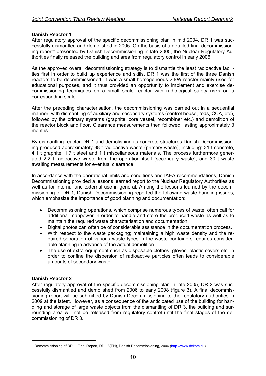## **Danish Reactor 1**

After regulatory approval of the specific decommissioning plan in mid 2004, DR 1 was successfully dismantled and demolished in 2005. On the basis of a detailed final decommission-ing report<sup>[3](#page-9-0)</sup> presented by Danish Decommissioning in late 2005, the Nuclear Regulatory Authorities finally released the building and area from regulatory control in early 2006.

As the approved overall decommissioning strategy is to dismantle the least radioactive facilities first in order to build up experience and skills, DR 1 was the first of the three Danish reactors to be decommissioned. It was a small homogeneous 2 kW reactor mainly used for educational purposes, and it thus provided an opportunity to implement and exercise decommissioning techniques on a small scale reactor with radiological safety risks on a corresponding scale.

After the preceding characterisation, the decommissioning was carried out in a sequential manner; with dismantling of auxiliary and secondary systems (control house, rods, CCA, etc), followed by the primary systems (graphite, core vessel, recombiner etc.) and demolition of the reactor block and floor. Clearance measurements then followed, lasting approximately 3 months.

By dismantling reactor DR 1 and demolishing its concrete structures Danish Decommissioning produced approximately 38 t radioactive waste (primary waste), including: 31 t concrete, 4.1 t graphite, 1.7 t steel and 1 t miscellaneous materials. The process furthermore generated 2.2 t radioactive waste from the operation itself (secondary waste), and 30 t waste awaiting measurements for eventual clearance.

In accordance with the operational limits and conditions and IAEA recommendations, Danish Decommissioning provided a lessons learned report to the Nuclear Regulatory Authorities as well as for internal and external use in general. Among the lessons learned by the decommissioning of DR 1, Danish Decommissioning reported the following waste handling issues, which emphasize the importance of good planning and documentation:

- Decommissioning operations, which comprise numerous types of waste, often call for additional manpower in order to handle and store the produced waste as well as to maintain the required waste characterisation and documentation.
- Digital photos can often be of considerable assistance in the documentation process.
- With respect to the waste packaging; maintaining a high waste density and the required separation of various waste types in the waste containers requires considerable planning in advance of the actual demolition.
- The use of extra equipment such as disposable clothes, gloves, plastic covers etc. in order to confine the dispersion of radioactive particles often leads to considerable amounts of secondary waste.

## **Danish Reactor 2**

1

After regulatory approval of the specific decommissioning plan in late 2005, DR 2 was successfully dismantled and demolished from 2006 to early 2008 (figure 3). A final decommissioning report will be submitted by Danish Decommissioning to the regulatory authorities in 2009 at the latest. However, as a consequence of the anticipated use of the building for handling and storage of large waste objects from the dismantling of DR 3, the building and surrounding area will not be released from regulatory control until the final stages of the decommissioning of DR 3.

<span id="page-9-0"></span><sup>&</sup>lt;sup>3</sup> Decommissioning of DR 1, Final Report, DD-18(EN), Danish Decommissioning, 2006 ([http://www.dekom.dk\)](http://www.dekom.dk/)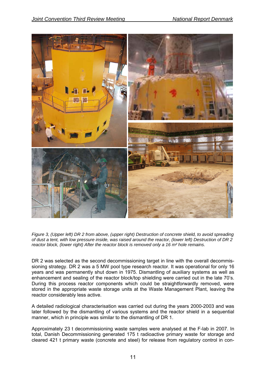

*Figure 3, (Upper left) DR 2 from above, (upper right) Destruction of concrete shield, to avoid spreading of dust a tent, with low pressure inside, was raised around the reactor, (lower left) Destruction of DR 2 reactor block, (lower right) After the reactor block is removed only a 16 m² hole remains.* 

DR 2 was selected as the second decommissioning target in line with the overall decommissioning strategy. DR 2 was a 5 MW pool type research reactor. It was operational for only 16 years and was permanently shut down in 1975. Dismantling of auxiliary systems as well as enhancement and sealing of the reactor block/top shielding were carried out in the late 70's. During this process reactor components which could be straightforwardly removed, were stored in the appropriate waste storage units at the Waste Management Plant, leaving the reactor considerably less active.

A detailed radiological characterisation was carried out during the years 2000-2003 and was later followed by the dismantling of various systems and the reactor shield in a sequential manner, which in principle was similar to the dismantling of DR 1.

Approximately 23 t decommissioning waste samples were analysed at the F-lab in 2007. In total, Danish Decommissioning generated 175 t radioactive primary waste for storage and cleared 421 t primary waste (concrete and steel) for release from regulatory control in con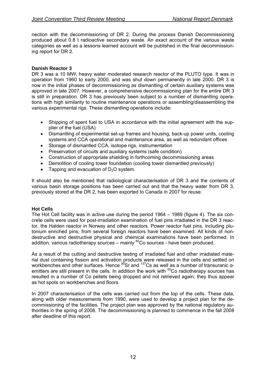nection with the decommissioning of DR 2. During the process Danish Decommissioning produced about 0.8 t radioactive secondary waste. An exact account of the various waste categories as well as a lessons learned account will be published in the final decommissioning report for DR 2.

## **Danish Reactor 3**

DR 3 was a 10 MW, heavy water moderated research reactor of the PLUTO type. It was in operation from 1960 to early 2000, and was shut down permanently in late 2000. DR 3 is now in the initial phases of decommissioning as dismantling of certain auxiliary systems was approved in late 2007. However, a comprehensive decommissioning plan for the entire DR 3 is still in preparation. DR 3 has previously been subject to a number of dismantling operations with high similarity to routine maintenance operations or assembling/disassembling the various experimental rigs. These dismantling operations include:

- Shipping of spent fuel to USA in accordance with the initial agreement with the supplier of the fuel (USA)
- Dismantling of experimental set-up frames and housing, back-up power units, cooling systems and CCA operational and maintenance area, as well as redundant offices
- Storage of dismantled CCA, isotope rigs, instrumentation
- Preservation of circuits and auxiliary systems (safe condition)
- Construction of appropriate shielding in forthcoming decommissioning areas
- Demolition of cooling tower foundation (cooling tower dismantled previously)
- Tapping and evacuation of  $D_2O$  system.

It should also be mentioned that radiological characterisation of DR 3 and the contents of various basin storage positions has been carried out and that the heavy water from DR 3, previously stored at the DR 2, has been exported to Canada in 2007 for reuse.

## **Hot Cells**

The Hot Cell facility was in active use during the period 1964 – 1989 (figure 4). The six concrete cells were used for post-irradiation examination of fuel pins irradiated in the DR 3 reactor, the Halden reactor in Norway and other reactors. Power reactor fuel pins, including plutonium enriched pins, from several foreign reactors have been examined. All kinds of nondestructive and destructive physical and chemical examinations have been performed. In addition, various radiotherapy sources – mainly  ${}^{60}$ Co sources - have been produced.

As a result of the cutting and destructive testing of irradiated fuel and other irradiated material dust containing fission and activation products were released in the cells and settled on workbenches and other surfaces. Hence <sup>90</sup>Sr and <sup>137</sup>Cs as well as a number of transuranic αemitters are still present in the cells. In addition the work with  $^{60}$ Co radiotherapy sources has resulted in a number of Co pellets being dropped and not retrieved again; they thus appear as hot spots on workbenches and floors.

In 2007 characterisation of the cells was carried out from the top of the cells. These data, along with older measurements from 1990, were used to develop a project plan for the decommissioning of the facilities. The project plan was approved by the national regulatory authorities in the spring of 2008. The decommissioning is planned to commence in the fall 2008 after deadline of this report.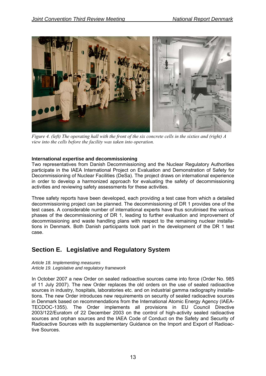<span id="page-12-0"></span>

*Figure 4. (left) The operating hall with the front of the six concrete cells in the sixties and (right) A view into the cells before the facility was taken into operation.* 

## **International expertise and decommissioning**

Two representatives from Danish Decommissioning and the Nuclear Regulatory Authorities participate in the IAEA International Project on Evaluation and Demonstration of Safety for Decommissioning of Nuclear Facilities (DeSa). The project draws on international experience in order to develop a harmonized approach for evaluating the safety of decommissioning activities and reviewing safety assessments for these activities.

Three safety reports have been developed, each providing a test case from which a detailed decommissioning project can be planned. The decommissioning of DR 1 provides one of the test cases. A considerable number of international experts have thus scrutinised the various phases of the decommissioning of DR 1, leading to further evaluation and improvement of decommissioning and waste handling plans with respect to the remaining nuclear installations in Denmark. Both Danish participants took part in the development of the DR 1 test case.

## **Section E. Legislative and Regulatory System**

#### *Article 18. Implementing measures Article 19. Legislative and regulatory framework*

In October 2007 a new Order on sealed radioactive sources came into force (Order No. 985 of 11 July 2007). The new Order replaces the old orders on the use of sealed radioactive sources in industry, hospitals, laboratories etc. and on industrial gamma radiography installations. The new Order introduces new requirements on security of sealed radioactive sources in Denmark based on recommendations from the International Atomic Energy Agency (IAEA-TECDOC-1355). The Order implements all provisions in EU Council Directive 2003/122/Euratom of 22 December 2003 on the control of high-activity sealed radioactive sources and orphan sources and the IAEA Code of Conduct on the Safety and Security of Radioactive Sources with its supplementary Guidance on the Import and Export of Radioactive Sources.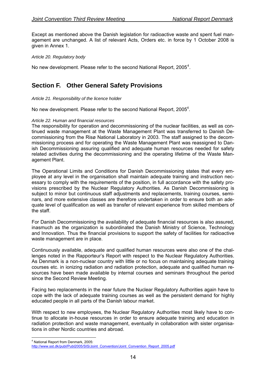<span id="page-13-0"></span>Except as mentioned above the Danish legislation for radioactive waste and spent fuel management are unchanged. A list of relevant Acts, Orders etc. in force by 1 October 2008 is given in Annex 1.

## *Article 20. Regulatory body*

No new development. Please refer to the second National Report, 2005<sup>[4](#page-13-1)</sup>.

# **Section F. Other General Safety Provisions**

## *Article 21. Responsibility of the licence holder*

No new development. Please refer to the second National Report, 2005<sup>4</sup>.

#### *Article 22. Human and financial resources*

The responsibility for operation and decommissioning of the nuclear facilities, as well as continued waste management at the Waste Management Plant was transferred to Danish Decommissioning from the Risø National Laboratory in 2003. The staff assigned to the decommissioning process and for operating the Waste Management Plant was reassigned to Danish Decommissioning assuring qualified and adequate human resources needed for safety related activities during the decommissioning and the operating lifetime of the Waste Management Plant.

The Operational Limits and Conditions for Danish Decommissioning states that every employee at any level in the organisation shall maintain adequate training and instruction necessary to comply with the requirements of the position, in full accordance with the safety provisions prescribed by the Nuclear Regulatory Authorities. As Danish Decommissioning is subject to minor but continuous staff adjustments and replacements, training courses, seminars, and more extensive classes are therefore undertaken in order to ensure both an adequate level of qualification as well as transfer of relevant experience from skilled members of the staff.

For Danish Decommissioning the availability of adequate financial resources is also assured, inasmuch as the organization is subordinated the Danish Ministry of Science, Technology and Innovation. Thus the financial provisions to support the safety of facilities for radioactive waste management are in place.

Continuously available, adequate and qualified human resources were also one of the challenges noted in the Rapporteur's Report with respect to the Nuclear Regulatory Authorities. As Denmark is a non-nuclear country with little or no focus on maintaining adequate training courses etc. in ionizing radiation and radiation protection, adequate and qualified human resources have been made available by internal courses and seminars throughout the period since the Second Review Meeting.

Facing two replacements in the near future the Nuclear Regulatory Authorities again have to cope with the lack of adequate training courses as well as the persistent demand for highly educated people in all parts of the Danish labour market.

With respect to new employees, the Nuclear Regulatory Authorities most likely have to continue to allocate in-house resources in order to ensure adequate training and education in radiation protection and waste management, eventually in collaboration with sister organisations in other Nordic countries and abroad.

<sup>&</sup>lt;u>.</u> 4 National Report from Denmark, 2005:

<span id="page-13-1"></span>http://www.sst.dk/publ/Publ2005/SIS/Joint\_Convention/Joint\_Convention\_Report\_2005.pdf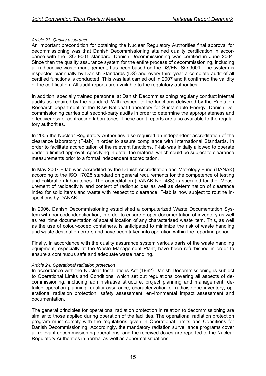## *Article 23. Quality assurance*

An important precondition for obtaining the Nuclear Regulatory Authorities final approval for decommissioning was that Danish Decommissioning attained quality certification in accordance with the ISO 9001 standard. Danish Decommissioning was certified in June 2004. Since then the quality assurance system for the entire process of decommissioning, including all radioactive waste management, has been based on the DS/EN ISO 9001. The system is inspected biannually by Danish Standards (DS) and every third year a complete audit of all certified functions is conducted. This was last carried out in 2007 and it confirmed the validity of the certification. All audit reports are available to the regulatory authorities.

In addition, specially trained personnel at Danish Decommissioning regularly conduct internal audits as required by the standard. With respect to the functions delivered by the Radiation Research department at the Risø National Laboratory for Sustainable Energy, Danish Decommissioning carries out second-party audits in order to determine the appropriateness and effectiveness of contracting laboratories. These audit reports are also available to the regulatory authorities.

In 2005 the Nuclear Regulatory Authorities also required an independent accreditation of the clearance laboratory (F-lab) in order to assure compliance with International Standards. In order to facilitate accreditation of the relevant functions, F-lab was initially allowed to operate under a limited approval, specifying in detail the material which could be subject to clearance measurements prior to a formal independent accreditation.

In May 2007 F-lab was accredited by the Danish Accreditation and Metrology Fund (DANAK) according to the ISO 17025 standard on general requirements for the competence of testing and calibration laboratories. The accreditation (DANAK No. 488) is specified for the: Measurement of radioactivity and content of radionuclides as well as determination of clearance index for solid items and waste with respect to clearance. F-lab is now subject to routine inspections by DANAK.

In 2006, Danish Decommissioning established a computerized Waste Documentation System with bar code identification, in order to ensure proper documentation of inventory as well as real time documentation of spatial location of any characterised waste item. This, as well as the use of colour-coded containers, is anticipated to minimize the risk of waste handling and waste destination errors and have been taken into operation within the reporting period.

Finally, in accordance with the quality assurance system various parts of the waste handling equipment, especially at the Waste Management Plant, have been refurbished in order to ensure a continuous safe and adequate waste handling.

## *Article 24. Operational radiation protection*

In accordance with the Nuclear Installations Act (1962) Danish Decommissioning is subject to Operational Limits and Conditions, which set out regulations covering all aspects of decommissioning, including administrative structure, project planning and management, detailed operation planning, quality assurance, characterization of radioisotope inventory, operational radiation protection, safety assessment, environmental impact assessment and documentation.

The general principles for operational radiation protection in relation to decommissioning are similar to those applied during operation of the facilities. The operational radiation protection program must comply with the regulations given in Operational Limits and Conditions for Danish Decommissioning. Accordingly, the mandatory radiation surveillance programs cover all relevant decommissioning operations, and the received doses are reported to the Nuclear Regulatory Authorities in normal as well as abnormal situations.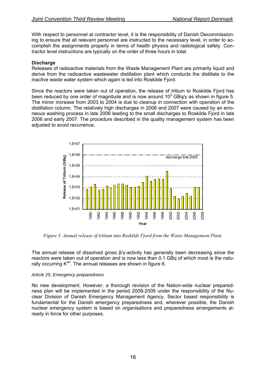With respect to personnel at contractor level, it is the responsibility of Danish Decommissioning to ensure that all relevant personnel are instructed to the necessary level, in order to accomplish the assignments properly in terms of health physics and radiological safety. Contractor level instructions are typically on the order of three hours in total.

## **Discharge**

Releases of radioactive materials from the Waste Management Plant are primarily liquid and derive from the radioactive wastewater distillation plant which conducts the distillate to the inactive waste water system which again is led into Roskilde Fjord.

Since the reactors were taken out of operation, the release of tritium to Roskilde Fjord has been reduced by one order of magnitude and is now around  $10^3$  GBq/y as shown in figure 5. The minor increase from 2003 to 2004 is due to cleanup in connection with operation of the distillation column. The relatively high discharges in 2006 and 2007 were caused by an erroneous washing process in late 2006 leading to the small discharges to Roskilde Fjord in late 2006 and early 2007. The procedure described in the quality management system has been adjusted to avoid recurrence.



*Figure 5. Annual release of tritium into Roskilde Fjord from the Waste Management Plant.* 

The annual release of dissolved gross β/γ-activity has generally been decreasing since the reactors were taken out of operation and is now less than 0.1 GBq of which most is the naturally occurring  $K^{40}$ . The annual releases are shown in figure 6.

## *Article 25. Emergency preparedness*

No new development. However, a thorough revision of the Nation-wide nuclear preparedness plan will be implemented in the period 2008-2009 under the responsibility of the Nuclear Division of Danish Emergency Management Agency. Sector based responsibility is fundamental for the Danish emergency preparedness and, wherever possible, the Danish nuclear emergency system is based on organisations and preparedness arrangements already in force for other purposes.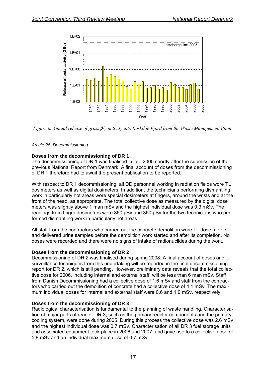

*Figure 6. Annual release of gross ß/γ-activity into Roskilde Fjord from the Waste Management Plant.* 

## *Article 26. Decommissioning*

## **Doses from the decommissioning of DR 1**

The decommissioning of DR 1 was finalised in late 2005 shortly after the submission of the previous National Report from Denmark. A final account of doses from the decommissioning of DR 1 therefore had to await the present publication to be reported.

With respect to DR 1 decommissioning, all DD personnel working in radiation fields wore TL dosimeters as well as digital dosimeters. In addition, the technicians performing dismantling work in particularly hot areas wore special dosimeters at fingers, around the wrists and at the front of the head, as appropriate. The total collective dose as measured by the digital dose meters was slightly above 1 man mSv and the highest individual dose was 0.3 mSv. The readings from finger dosimeters were 850 μSv and 350 μSv for the two technicians who performed dismantling work in particularly hot areas.

All staff from the contractors who carried out the concrete demolition wore TL dose meters and delivered urine samples before the demolition work started and after its completion. No doses were recorded and there were no signs of intake of radionuclides during the work.

## **Doses from the decommissioning of DR 2**

Decommissioning of DR 2 was finalised during spring 2008. A final account of doses and surveillance techniques from this undertaking will be reported in the final decommissioning report for DR 2, which is still pending. However, preliminary data reveals that the total collective dose for 2006, including internal and external staff, will be less than 6 man mSv. Staff from Danish Decommissioning had a collective dose of 1.6 mSv and staff from the contractors who carried out the demolition of concrete had a collective dose of 4.1 mSv. The maximum individual doses for internal and external staff were 0.6 and 1.0 mSv, respectively.

## **Doses from the decommissioning of DR 3**

Radiological characterisation is fundamental to the planning of waste handling. Characterisation of major parts of reactor DR 3, such as the primary reactor components and the primary cooling system, were done during 2005. During this process the collective dose was 2.6 mSv and the highest individual dose was 0.7 mSv. Characterisation of all DR 3 fuel storage units and associated equipment took place in 2006 and 2007, and gave rise to a collective dose of 5.8 mSv and an individual maximum dose of 0.7 mSv.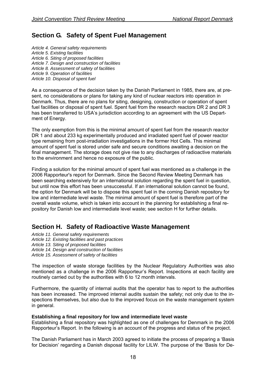# <span id="page-17-0"></span>**Section G. Safety of Spent Fuel Management**

*Article 4. General safety requirements Article 5. Existing facilities Article 6. Siting of proposed facilities Article 7. Design and construction of facilities Article 8. Assessment of safety of facilities Article 9. Operation of facilities Article 10. Disposal of spent fuel* 

As a consequence of the decision taken by the Danish Parliament in 1985, there are, at present, no considerations or plans for taking any kind of nuclear reactors into operation in Denmark. Thus, there are no plans for siting, designing, construction or operation of spent fuel facilities or disposal of spent fuel. Spent fuel from the research reactors DR 2 and DR 3 has been transferred to USA's jurisdiction according to an agreement with the US Department of Energy.

The only exemption from this is the minimal amount of spent fuel from the research reactor DR 1 and about 233 kg experimentally produced and irradiated spent fuel of power reactor type remaining from post-irradiation investigations in the former Hot Cells. This minimal amount of spent fuel is stored under safe and secure conditions awaiting a decision on the final management. The storage does not give rise to any discharges of radioactive materials to the environment and hence no exposure of the public.

Finding a solution for the minimal amount of spent fuel was mentioned as a challenge in the 2006 Rapporteur's report for Denmark. Since the Second Review Meeting Denmark has been searching extensively for an international solution regarding the spent fuel in question, but until now this effort has been unsuccessful. If an international solution cannot be found, the option for Denmark will be to dispose this spent fuel in the coming Danish repository for low and intermediate level waste. The minimal amount of spent fuel is therefore part of the overall waste volume, which is taken into account in the planning for establishing a final repository for Danish low and intermediate level waste; see section H for further details.

## **Section H. Safety of Radioactive Waste Management**

*Article 11. General safety requirements* 

- *Article 12. Existing facilities and past practices*
- *Article 13. Siting of proposed facilities*
- *Article 14. Design and construction of facilities*
- *Article 15. Assessment of safety of facilities*

The inspection of waste storage facilities by the Nuclear Regulatory Authorities was also mentioned as a challenge in the 2006 Rapporteur's Report. Inspections at each facility are routinely carried out by the authorities with 6 to 12 month intervals.

Furthermore, the quantity of internal audits that the operator has to report to the authorities has been increased. The improved internal audits sustain the safety; not only due to the inspections themselves, but also due to the improved focus on the waste management system in general.

## **Establishing a final repository for low and intermediate level waste**

Establishing a final repository was highlighted as one of challenges for Denmark in the 2006 Rapporteur's Report. In the following is an account of the progress and status of the project.

The Danish Parliament has in March 2003 agreed to initiate the process of preparing a 'Basis for Decision' regarding a Danish disposal facility for LILW. The purpose of the 'Basis for De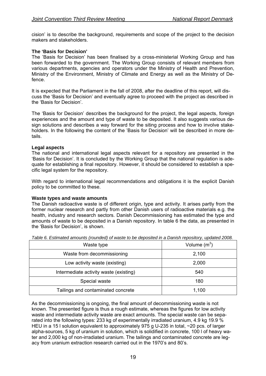cision' is to describe the background, requirements and scope of the project to the decision makers and stakeholders.

## **The 'Basis for Decision'**

The 'Basis for Decision' has been finalised by a cross-ministerial Working Group and has been forwarded to the government. The Working Group consists of relevant members from various departments, agencies and operators under the Ministry of Health and Prevention, Ministry of the Environment, [Ministry of Climate and Energy](http://www.kemin.dk/) as well as the Ministry of Defence.

It is expected that the Parliament in the fall of 2008, after the deadline of this report, will discuss the 'Basis for Decision' and eventually agree to proceed with the project as described in the 'Basis for Decision'.

The 'Basis for Decision' describes the background for the project, the legal aspects, foreign experiences and the amount and type of waste to be deposited. It also suggests various design solutions and describes a way forward for the siting process and how to involve stakeholders. In the following the content of the 'Basis for Decision' will be described in more details.

#### **Legal aspects**

The national and international legal aspects relevant for a repository are presented in the 'Basis for Decision'. It is concluded by the Working Group that the national regulation is adequate for establishing a final repository. However, it should be considered to establish a specific legal system for the repository.

With regard to international legal recommendations and obligations it is the explicit Danish policy to be committed to these.

## **Waste types and waste amounts**

The Danish radioactive waste is of different origin, type and activity. It arises partly from the former nuclear research and partly from other Danish users of radioactive materials e.g. the health, industry and research sectors. Danish Decommissioning has estimated the type and amounts of waste to be deposited in a Danish repository. In table 6 the data, as presented in the 'Basis for Decision', is shown.

| Waste type                             | Volume $(m^3)$ |
|----------------------------------------|----------------|
| Waste from decommissioning             | 2,100          |
| Low activity waste (existing)          | 2,000          |
| Intermediate activity waste (existing) | 540            |
| Special waste                          | 180            |
| Tailings and contaminated concrete     | 1,100          |

*Table 6. Estimated amounts (rounded) of waste to be deposited in a Danish repository, updated 2008.* 

As the decommissioning is ongoing, the final amount of decommissioning waste is not known. The presented figure is thus a rough estimate, whereas the figures for low activity waste and intermediate activity waste are exact amounts. The special waste can be separated into the following types: 233 kg of experimentally irradiated uranium, 4.9 kg 19.9 % HEU in a 15 l solution equivalent to approximately 975 g U-235 in total, ~20 pcs. of larger alpha-sources, 5 kg of uranium in solution, which is solidified in concrete, 100 l of heavy water and 2,000 kg of non-irradiated uranium. The tailings and contaminated concrete are legacy from uranium extraction research carried out in the 1970's and 80's.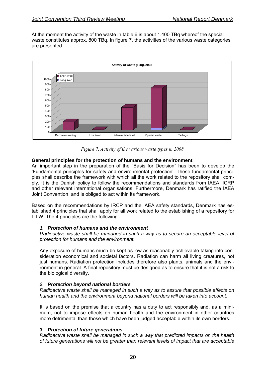At the moment the activity of the waste in table 6 is about 1.400 TBq whereof the special waste constitutes approx. 800 TBq. In figure 7, the activities of the various waste categories are presented.



*Figure 7. Activity of the various waste types in 2008.* 

## **General principles for the protection of humans and the environment**

An important step in the preparation of the "Basis for Decision" has been to develop the 'Fundamental principles for safety and environmental protection'. These fundamental principles shall describe the framework with which all the work related to the repository shall comply. It is the Danish policy to follow the recommendations and standards from IAEA, ICRP and other relevant international organisations. Furthermore, Denmark has ratified the IAEA Joint Convention, and is obliged to act within its framework.

Based on the recommendations by IRCP and the IAEA safety standards, Denmark has established 4 principles that shall apply for all work related to the establishing of a repository for LILW. The 4 principles are the following:

## *1. Protection of humans and the environment*

*Radioactive waste shall be managed in such a way as to secure an acceptable level of protection for humans and the environment.* 

Any exposure of humans much be kept as low as reasonably achievable taking into consideration economical and societal factors. Radiation can harm all living creatures, not just humans. Radiation protection includes therefore also plants, animals and the environment in general. A final repository must be designed as to ensure that it is not a risk to the biological diversity.

## *2. Protection beyond national borders*

*Radioactive waste shall be managed in such a way as to assure that possible effects on human health and the environment beyond national borders will be taken into account.* 

It is based on the premise that a country has a duty to act responsibly and, as a minimum, not to impose effects on human health and the environment in other countries more detrimental than those which have been judged acceptable within its own borders.

## *3. Protection of future generations*

*Radioactive waste shall be managed in such a way that predicted impacts on the health of future generations will not be greater than relevant levels of impact that are acceptable*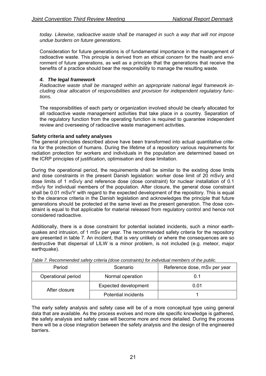*today. Likewise, radioactive waste shall be managed in such a way that will not impose undue burdens on future generations.* 

Consideration for future generations is of fundamental importance in the management of radioactive waste. This principle is derived from an ethical concern for the health and environment of future generations, as well as a principle that the generations that receive the benefits of a practice should bear the responsibility to manage the resulting waste.

## *4. The legal framework*

*Radioactive waste shall be managed within an appropriate national legal framework including clear allocation of responsibilities and provision for independent regulatory functions.* 

The responsibilities of each party or organization involved should be clearly allocated for all radioactive waste management activities that take place in a country. Separation of the regulatory function from the operating function is required to guarantee independent review and overseeing of radioactive waste management activities.

## **Safety criteria and safety analyses**

The general principles described above have been transformed into actual quantitative criteria for the protection of humans. During the lifetime of a repository various requirements for radiation protection for workers and individuals in the population are determined based on the ICRP principles of justification, optimisation and dose limitation.

During the operational period, the requirements shall be similar to the existing dose limits and dose constraints in the present Danish legislation: worker dose limit of 20 mSv/y and dose limits of 1 mSv/y and reference dose (dose constraint) for nuclear installation of 0.1 mSv/y for individual members of the population. After closure, the general dose constraint shall be 0.01 mSv/Y with regard to the expected development of the repository. This is equal to the clearance criteria in the Danish legislation and acknowledges the principle that future generations should be protected at the same level as the present generation. The dose constraint is equal to that applicable for material released from regulatory control and hence not considered radioactive.

Additionally, there is a dose constraint for potential isolated incidents, such a minor earthquakes and intrusion, of 1 mSv per year. The recommended safety criteria for the repository are presented in table 7. An incident, that is very unlikely or where the consequences are so destructive that dispersal of LILW is a minor problem, is not included (e.g. meteor, major earthquake).

| Period             | Scenario                    | Reference dose, mSv per year |
|--------------------|-----------------------------|------------------------------|
| Operational period | Normal operation            | 0.1                          |
| After closure      | <b>Expected development</b> | 0.01                         |
|                    | <b>Potential incidents</b>  |                              |

*Table 7. Recommended safety criteria (dose constraints) for individual members of the public.* 

The early safety analysis and safety case will be of a more conceptual type using general data that are available. As the process evolves and more site specific knowledge is gathered, the safety analysis and safety case will become more and more detailed. During the process there will be a close integration between the safety analysis and the design of the engineered barriers.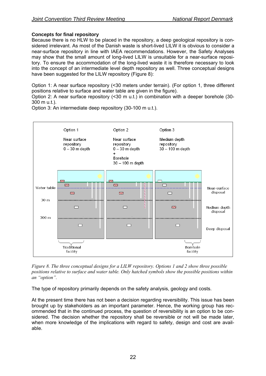## **Concepts for final repository**

Because there is no HLW to be placed in the repository, a deep geological repository is considered irrelevant. As most of the Danish waste is short-lived LILW it is obvious to consider a near-surface repository in line with IAEA recommendations. However, the Safety Analyses may show that the small amount of long-lived LILW is unsuitable for a near-surface repository. To ensure the accommodation of the long-lived waste it is therefore necessary to look into the concept of an intermediate level depth repository as well. Three conceptual designs have been suggested for the LILW repository (Figure 8):

Option 1: A near surface repository (<30 meters under terrain). (For option 1, three different positions relative to surface and water table are given in the figure).

Option 2: A near surface repository (<30 m u.t.) in combination with a deeper borehole (30- 300 m u.t.).

Option 1 Option 2 Option 3 Medium depth Near surface Near surface repository repository repository  $0-30$  m depth  $0 - 30$  m depth 30 - 100 m depth  $\ddot{}$ Borehole 30 - 100 m depth  $\overline{\mathbb{Z}}$  $\overline{\mathbf{z}}$ Water table Near-surface disposal  $\mathbf{z}$  $\mathbf{z}$  $\Box$ 30 m  $\Box$  $\Box$  $\mathbb{Z}$ Medium depth disposal 300 m

Option 3: An intermediate deep repository (30-100 m u.t.).

 $\Box$ 

Traditional

facility



 $\Box$ 

**Borehole** 

facility

Deep disposal

The type of repository primarily depends on the safety analysis, geology and costs.

At the present time there has not been a decision regarding reversibility. This issue has been brought up by stakeholders as an important parameter. Hence, the working group has recommended that in the continued process, the question of reversibility is an option to be considered. The decision whether the repository shall be reversible or not will be made later, when more knowledge of the implications with regard to safety, design and cost are available.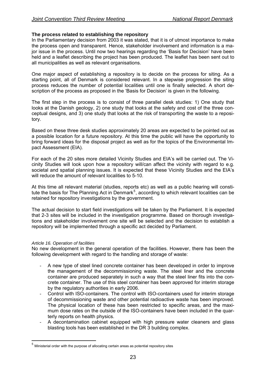## **The process related to establishing the repository**

In the Parliamentary decision from 2003 it was stated, that it is of utmost importance to make the process open and transparent. Hence, stakeholder involvement and information is a major issue in the process. Until now two hearings regarding the 'Basis for Decision' have been held and a leaflet describing the project has been produced. The leaflet has been sent out to all municipalities as well as relevant organisations.

One major aspect of establishing a repository is to decide on the process for siting. As a starting point, all of Denmark is considered relevant. In a stepwise progression the siting process reduces the number of potential localities until one is finally selected. A short description of the process as proposed in the 'Basis for Decision' is given in the following.

The first step in the process is to consist of three parallel desk studies: 1) One study that looks at the Danish geology, 2) one study that looks at the safety and cost of the three conceptual designs, and 3) one study that looks at the risk of transporting the waste to a repository.

Based on these three desk studies approximately 20 areas are expected to be pointed out as a possible location for a future repository. At this time the public will have the opportunity to bring forward ideas for the disposal project as well as for the topics of the Environmental Impact Assessment (EIA).

For each of the 20 sites more detailed Vicinity Studies and EIA's will be carried out. The Vicinity Studies will look upon how a repository will/can affect the vicinity with regard to e.g. societal and spatial planning issues. It is expected that these Vicinity Studies and the EIA's will reduce the amount of relevant localities to 5-10.

At this time all relevant material (studies, reports etc) as well as a public hearing will consti-tute the basis for The Planning Act in Denmark<sup>[5](#page-22-0)</sup>, according to which relevant localities can be retained for repository investigations by the government.

The actual decision to start field investigations will be taken by the Parliament. It is expected that 2-3 sites will be included in the investigation programme. Based on thorough investigations and stakeholder involvement one site will be selected and the decision to establish a repository will be implemented through a specific act decided by Parliament.

## *Article 16. Operation of facilities*

1

No new development in the general operation of the facilities. However, there has been the following development with regard to the handling and storage of waste:

- A new type of steel lined concrete container has been developed in order to improve the management of the decommissioning waste. The steel liner and the concrete container are produced separately in such a way that the steel liner fits into the concrete container. The use of this steel container has been approved for interim storage by the regulatory authorities in early 2006.
- Control with ISO-containers. The control with ISO-containers used for interim storage of decommissioning waste and other potential radioactive waste has been improved. The physical location of these has been restricted to specific areas, and the maximum dose rates on the outside of the ISO-containers have been included in the quarterly reports on health physics.
- A decontamination cabinet equipped with high pressure water cleaners and glass blasting tools has been established in the DR 3 building complex.

<span id="page-22-0"></span><sup>5</sup> Ministerial order with the purpose of allocating certain areas as potential repository sites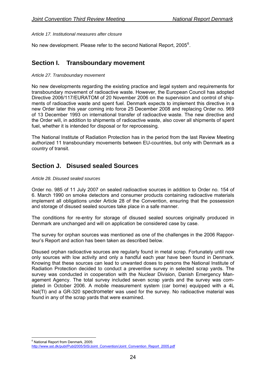<span id="page-23-0"></span>*Article 17. Institutional measures after closure* 

No new development. Please refer to the second National Report, 2005 $^6$  $^6$ .

# **Section I. Transboundary movement**

#### *Article 27. Transboundary movement*

No new developments regarding the existing practice and legal system and requirements for transboundary movement of radioactive waste. However, the European Council has adopted Directive 2006/117/EURATOM of 20 November 2006 on the supervision and control of shipments of radioactive waste and spent fuel. Denmark expects to implement this directive in a new Order later this year coming into force 25 December 2008 and replacing Order no. 969 of 13 December 1993 on international transfer of radioactive waste. The new directive and the Order will, in addition to shipments of radioactive waste, also cover all shipments of spent fuel, whether it is intended for disposal or for reprocessing.

The National Institute of Radiation Protection has in the period from the last Review Meeting authorized 11 transboundary movements between EU-countries, but only with Denmark as a country of transit.

## **Section J. Disused sealed Sources**

#### *Article 28. Disused sealed sources*

Order no. 985 of 11 July 2007 on sealed radioactive sources in addition to Order no. 154 of 6. March 1990 on smoke detectors and consumer products containing radioactive materials implement all obligations under Article 28 of the Convention, ensuring that the possession and storage of disused sealed sources take place in a safe manner.

The conditions for re-entry for storage of disused sealed sources originally produced in Denmark are unchanged and will on application be considered case by case.

The survey for orphan sources was mentioned as one of the challenges in the 2006 Rapporteur's Report and action has been taken as described below.

Disused orphan radioactive sources are regularly found in metal scrap. Fortunately until now only sources with low activity and only a handful each year have been found in Denmark. Knowing that these sources can lead to unwanted doses to persons the National Institute of Radiation Protection decided to conduct a preventive survey in selected scrap yards. The survey was conducted in cooperation with the Nuclear Division, Danish Emergency Management Agency. The total survey included seven scrap yards and the survey was completed in October 2006. A mobile measurement system (car borne) equipped with a 4L NaI(Tl) and a GR-320 spectrometer was used for the survey. No radioactive material was found in any of the scrap yards that were examined.

<sup>&</sup>lt;u>.</u> 6 National Report from Denmark, 2005:

<span id="page-23-1"></span>[http://www.sst.dk/publ/Publ2005/SIS/Joint\\_Convention/Joint\\_Convention\\_Report\\_2005.pdf](http://www.sst.dk/publ/Publ2005/SIS/Joint_Convention/Joint_Convention_Report_2005.pdf)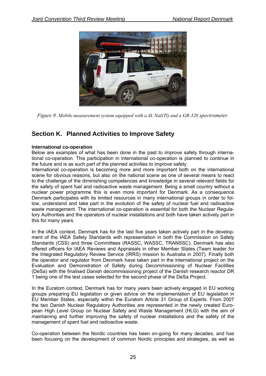<span id="page-24-0"></span>

*Figure 9. Mobile measurement system equipped with a 4L NaI(Tl) and a GR-320 spectrometer.* 

# **Section K. Planned Activities to Improve Safety**

## **International co-operation**

Below are examples of what has been done in the past to improve safety through international co-operation. This participation in international co-operation is planned to continue in the future and is as such part of the planned activities to improve safety.

International co-operation is becoming more and more important both on the international scene for obvious reasons, but also on the national scene as one of several means to react to the challenge of the diminishing competences and knowledge in several relevant fields for the safety of spent fuel and radioactive waste management. Being a small country without a nuclear power programme this is even more important for Denmark. As a consequence Denmark participates with its limited resources in many international groups in order to follow, understand and take part in the evolution of the safety of nuclear fuel and radioactive waste management. The international co-operation is essential for both the Nuclear Regulatory Authorities and the operators of nuclear installations and both have taken actively part in this for many years.

In the IAEA context, Denmark has for the last five years taken actively part in the development of the IAEA Safety Standards with representation in both the Commission on Safety Standards (CSS) and three Committees (RASSC, WASSC, TRANSSC). Denmark has also offered officers for IAEA Reviews and Appraisals in other Member States (Team leader for the Integrated Regulatory Review Service (IRRS) mission to Australia in 2007). Finally both the operator and regulator from Denmark have taken part in the international project on the Evaluation and Demonstration of Safety during Decommissioning of Nuclear Facilities (DeSa) with the finalised Danish decommissioning project of the Danish research reactor DR 1 being one of the test cases selected for the second phase of the DeSa Project.

In the Euratom context, Denmark has for many years been actively engaged in EU working groups preparing EU legislation or given advice on the implementation of EU legislation in EU Member States, especially within the Euratom Article 31 Group of Experts. From 2007 the two Danish Nuclear Regulatory Authorities are represented in the newly created European High Level Group on Nuclear Safety and Waste Management (HLG) with the aim of maintaining and further improving the safety of nuclear installations and the safety of the management of spent fuel and radioactive waste.

Co-operation between the Nordic countries has been on-going for many decades, and has been focusing on the development of common Nordic principles and strategies, as well as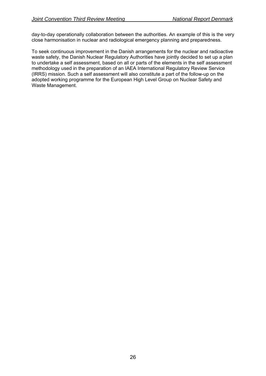day-to-day operationally collaboration between the authorities. An example of this is the very close harmonisation in nuclear and radiological emergency planning and preparedness.

To seek continuous improvement in the Danish arrangements for the nuclear and radioactive waste safety, the Danish Nuclear Regulatory Authorities have jointly decided to set up a plan to undertake a self assessment, based on all or parts of the elements in the self assessment methodology used in the preparation of an IAEA International Regulatory Review Service (IRRS) mission. Such a self assessment will also constitute a part of the follow-up on the adopted working programme for the European High Level Group on Nuclear Safety and Waste Management.